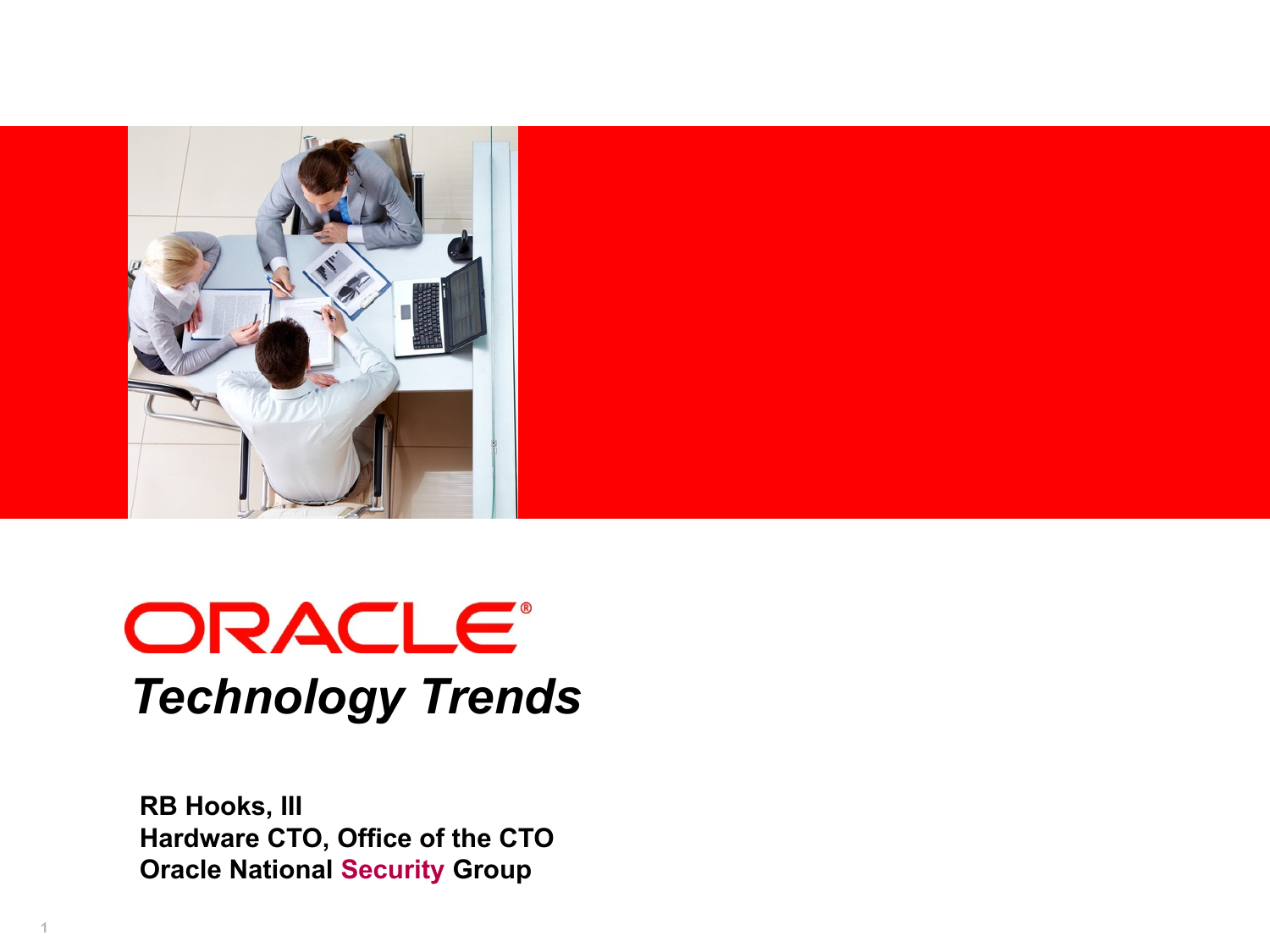

## **ORACLE®** *Technology Trends*

**RB Hooks, III Hardware CTO, Office of the CTO Oracle National Security Group**

**1**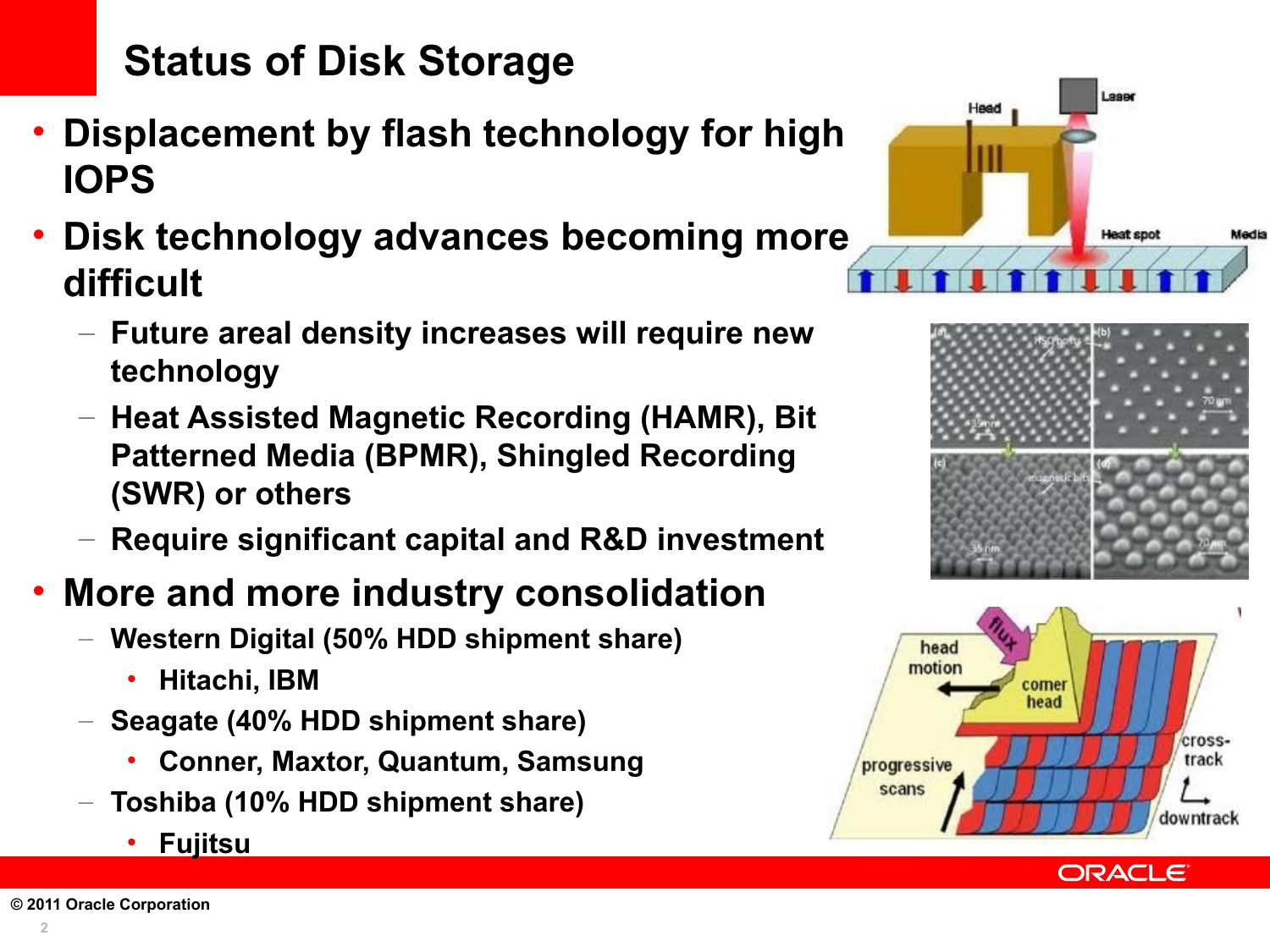## **Status of Disk Storage**

- **Displacement by flash technology for high IOPS**
- **Disk technology advances becoming more difficult**
	- **Future areal density increases will require new technology**
	- **Heat Assisted Magnetic Recording (HAMR), Bit Patterned Media (BPMR), Shingled Recording (SWR) or others**
	- **Require significant capital and R&D investment**

#### • **More and more industry consolidation**

- **Western Digital (50% HDD shipment share)** 
	- **Hitachi, IBM**
- **Seagate (40% HDD shipment share)** 
	- **Conner, Maxtor, Quantum, Samsung**
- **Toshiba (10% HDD shipment share)** 
	- **Fujitsu**









ORACLE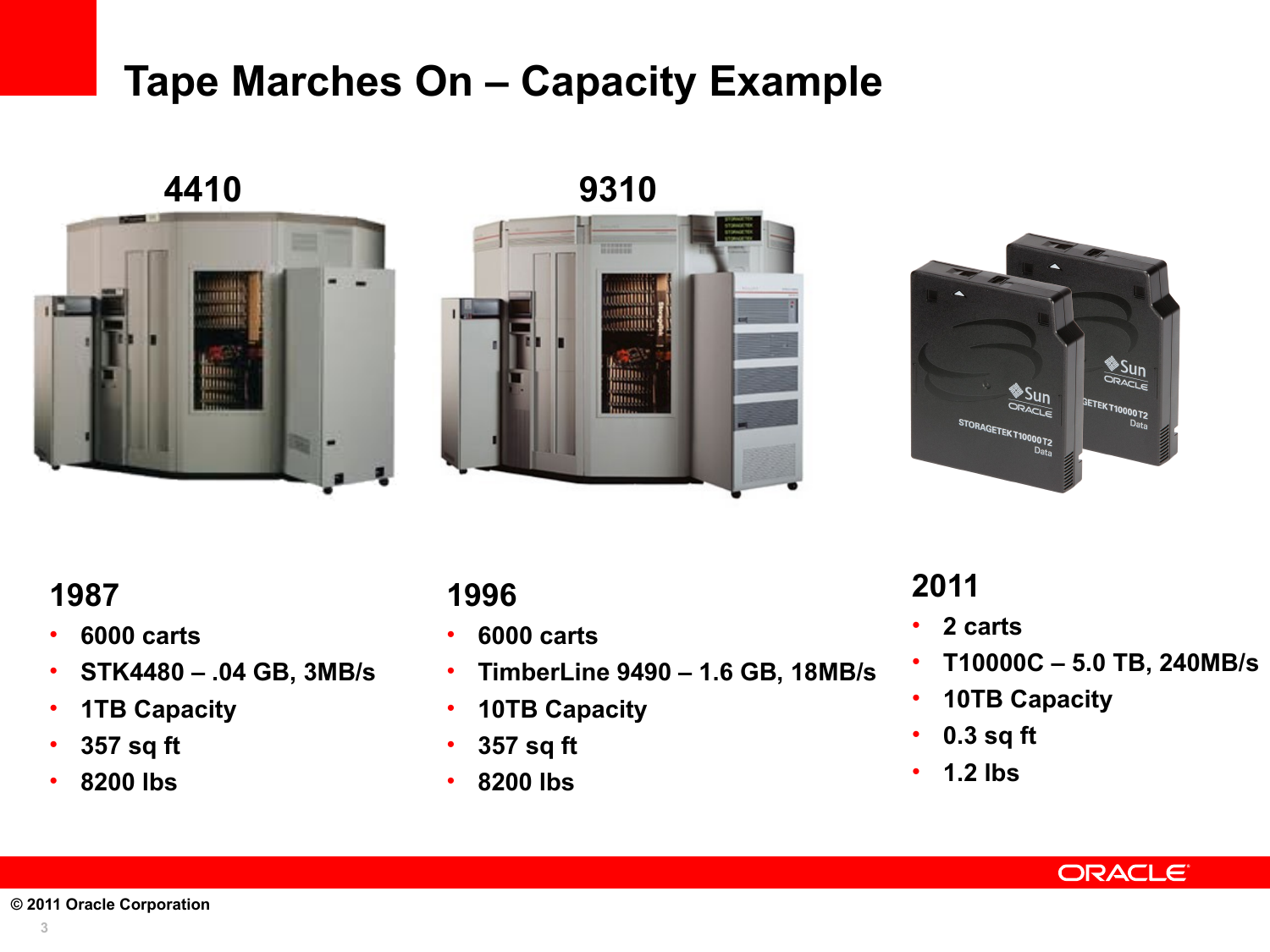#### **Tape Marches On – Capacity Example**



**4410 9310**





#### **1987**

- **6000 carts**
- **STK4480 .04 GB, 3MB/s**
- **1TB Capacity**
- **357 sq ft**
- **8200 lbs**

#### **1996**

- **6000 carts**
- **TimberLine 9490 1.6 GB, 18MB/s**
- **10TB Capacity**
- **357 sq ft**
- **8200 lbs**

#### **2011**

- **2 carts**
- **T10000C 5.0 TB, 240MB/s**
- **10TB Capacity**
- **0.3 sq ft**
- **1.2 lbs**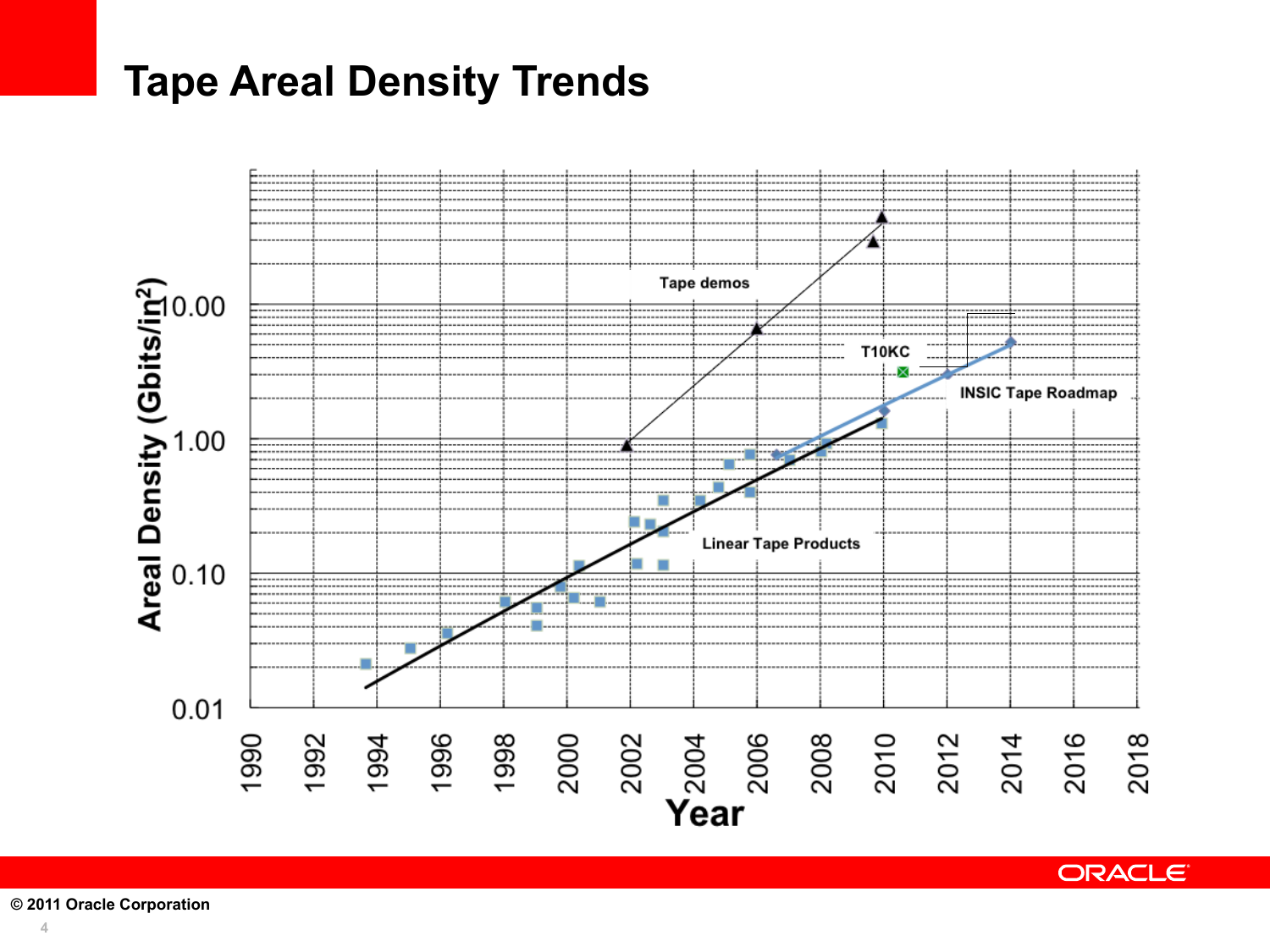#### **Tape Areal Density Trends**



**ORACLE**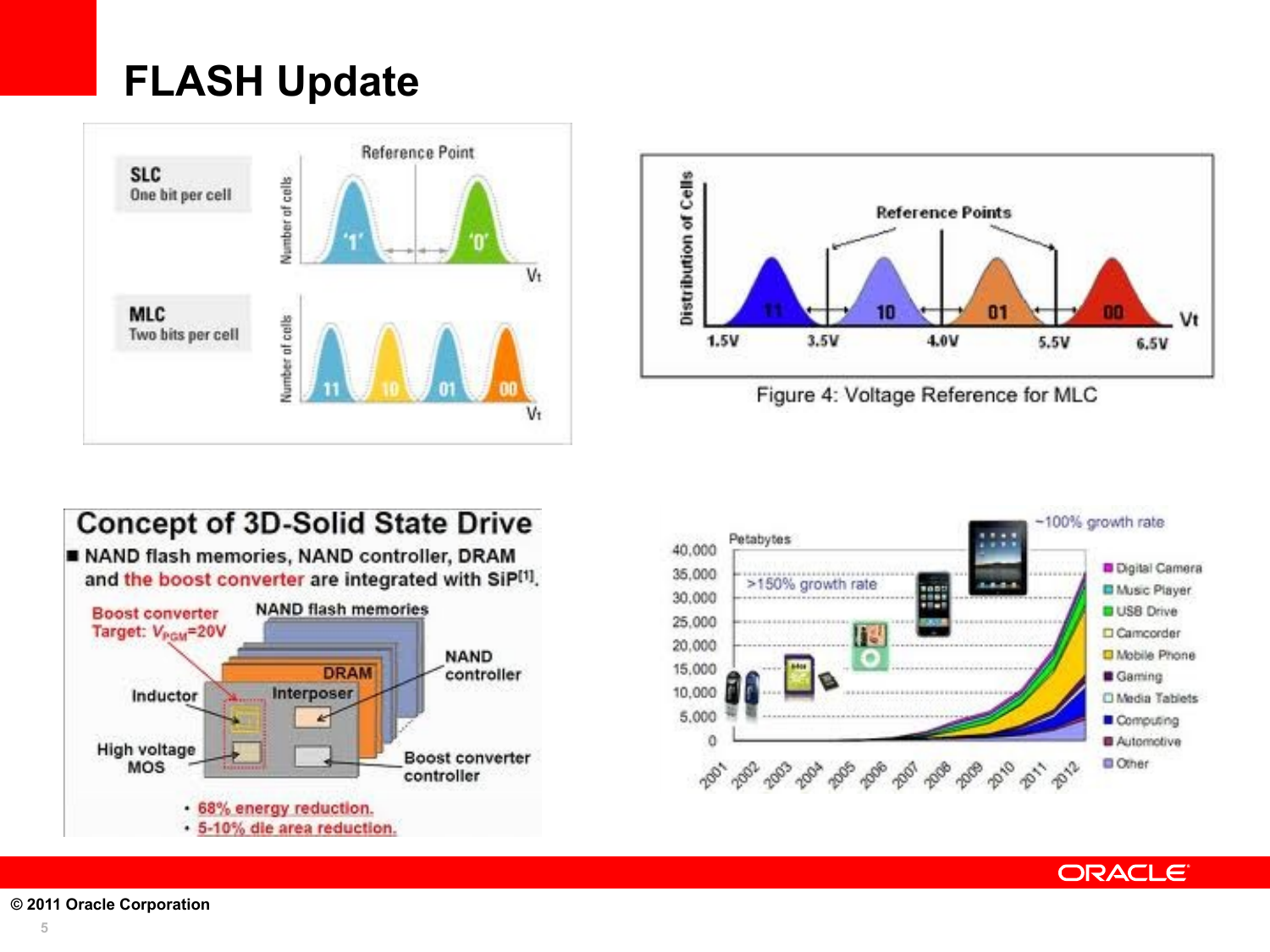## **FLASH Update**









**ORACLE**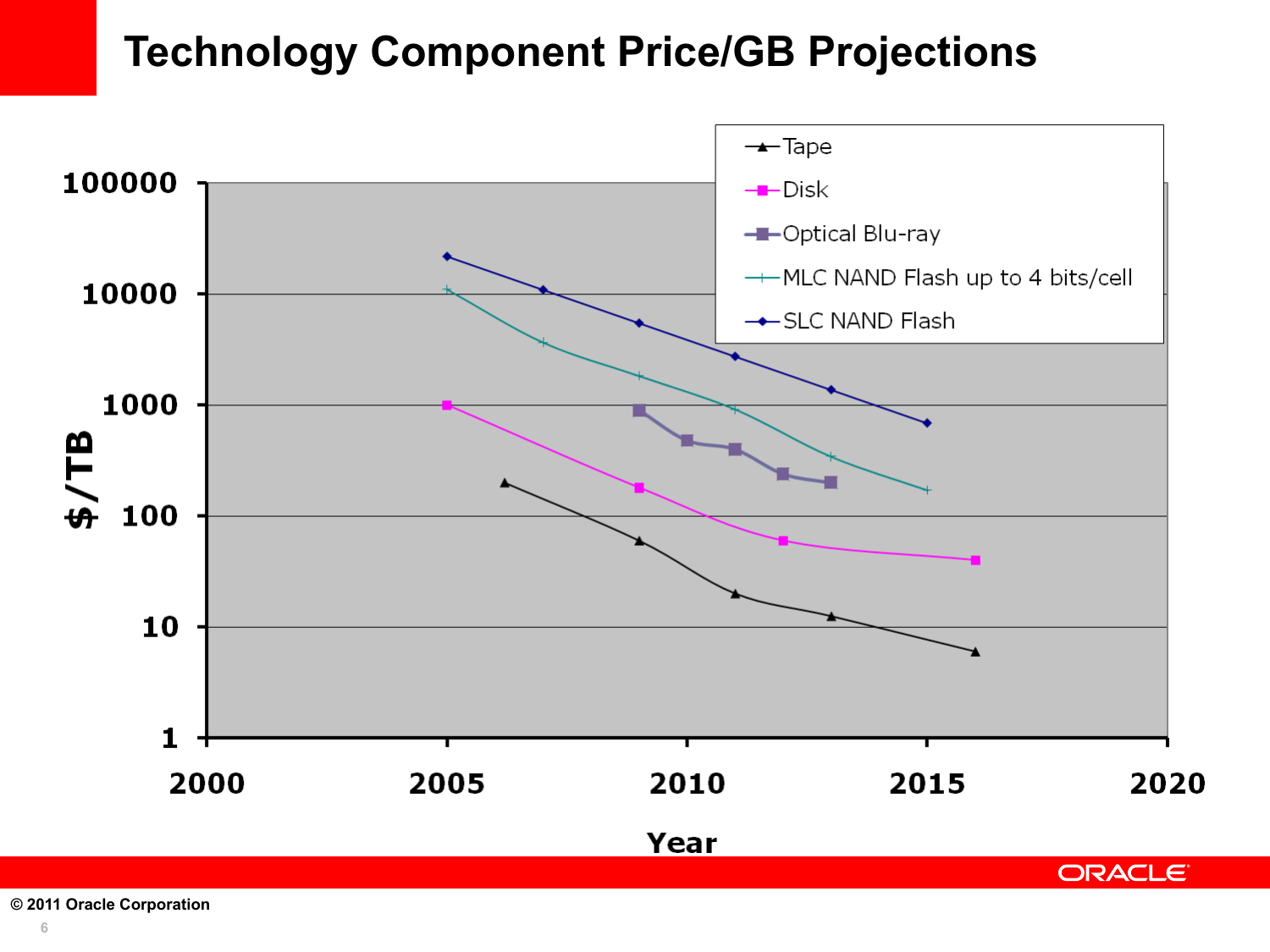#### **Technology Component Price/GB Projections**



**© 2011 Oracle Corporation**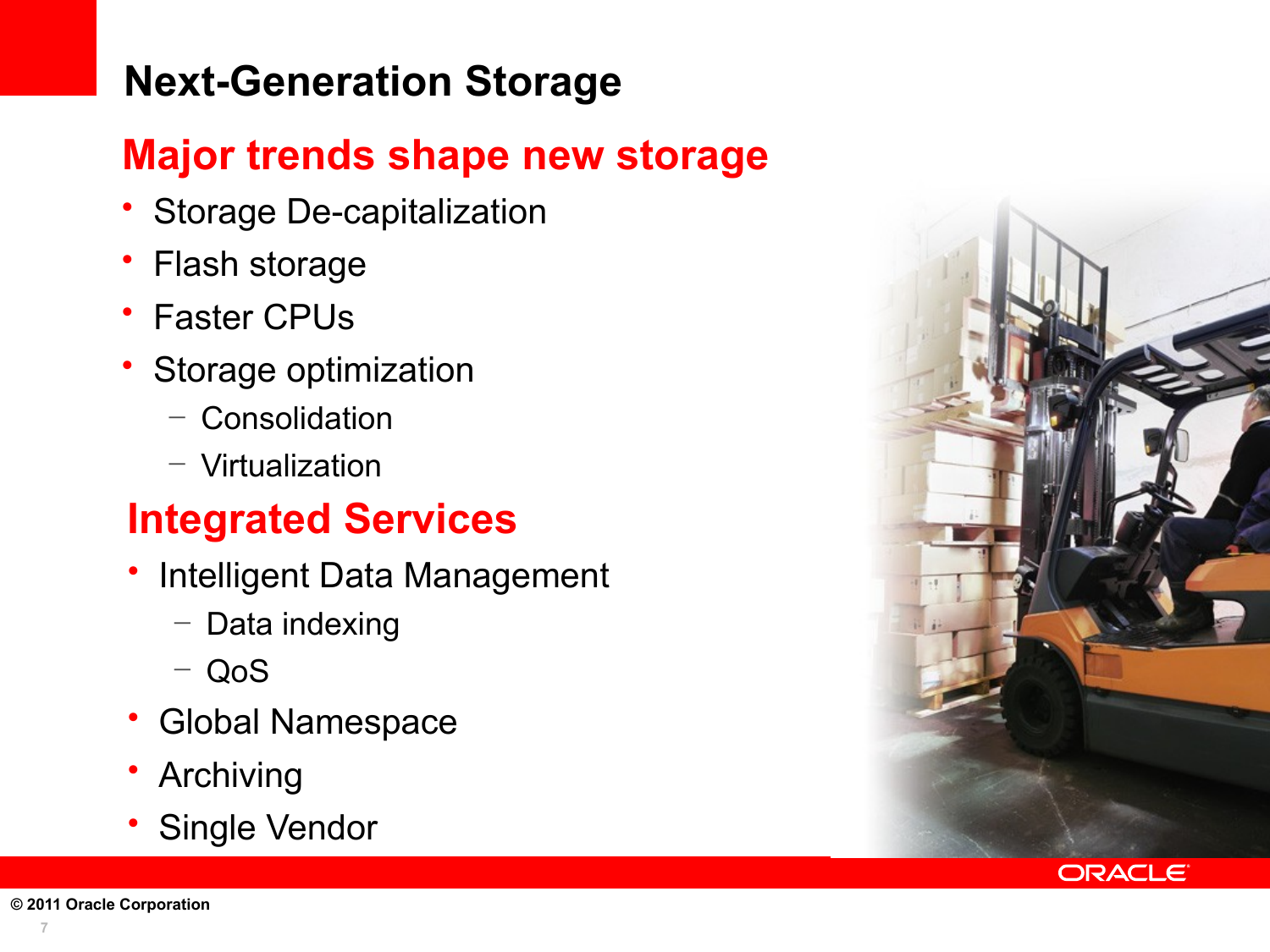## **Next-Generation Storage**

#### **Major trends shape new storage**

- Storage De-capitalization
- Flash storage
- Faster CPUs
- Storage optimization
	- Consolidation
	- Virtualization

#### **Integrated Services**

- Intelligent Data Management
	- Data indexing
	- QoS
- Global Namespace
- Archiving
- Single Vendor





**7**